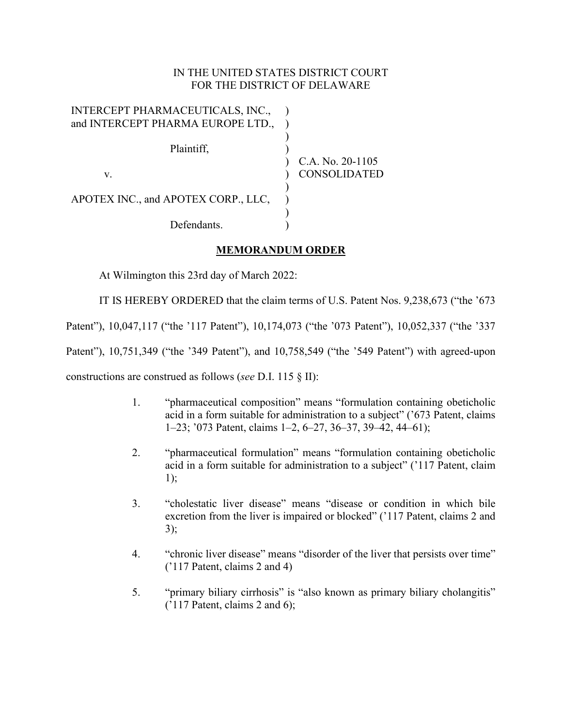### IN THE UNITED STATES DISTRICT COURT FOR THE DISTRICT OF DELAWARE

| INTERCEPT PHARMACEUTICALS, INC.,    |                     |
|-------------------------------------|---------------------|
| and INTERCEPT PHARMA EUROPE LTD.,   |                     |
|                                     |                     |
| Plaintiff,                          |                     |
|                                     | C.A. No. 20-1105    |
| V.                                  | <b>CONSOLIDATED</b> |
|                                     |                     |
| APOTEX INC., and APOTEX CORP., LLC, |                     |
|                                     |                     |
| Defendants.                         |                     |

# **MEMORANDUM ORDER**

At Wilmington this 23rd day of March 2022:

IT IS HEREBY ORDERED that the claim terms of U.S. Patent Nos. 9,238,673 ("the '673

Patent"), 10,047,117 ("the '117 Patent"), 10,174,073 ("the '073 Patent"), 10,052,337 ("the '337

Patent"), 10,751,349 ("the '349 Patent"), and 10,758,549 ("the '549 Patent") with agreed-upon

constructions are construed as follows (*see* D.I. 115 § II):

- 1. "pharmaceutical composition" means "formulation containing obeticholic acid in a form suitable for administration to a subject" ('673 Patent, claims 1–23; '073 Patent, claims 1–2, 6–27, 36–37, 39–42, 44–61);
- 2. "pharmaceutical formulation" means "formulation containing obeticholic acid in a form suitable for administration to a subject" ('117 Patent, claim 1);
- 3. "cholestatic liver disease" means "disease or condition in which bile excretion from the liver is impaired or blocked" ('117 Patent, claims 2 and 3);
- 4. "chronic liver disease" means "disorder of the liver that persists over time" ('117 Patent, claims 2 and 4)
- 5. "primary biliary cirrhosis" is "also known as primary biliary cholangitis" ('117 Patent, claims 2 and 6);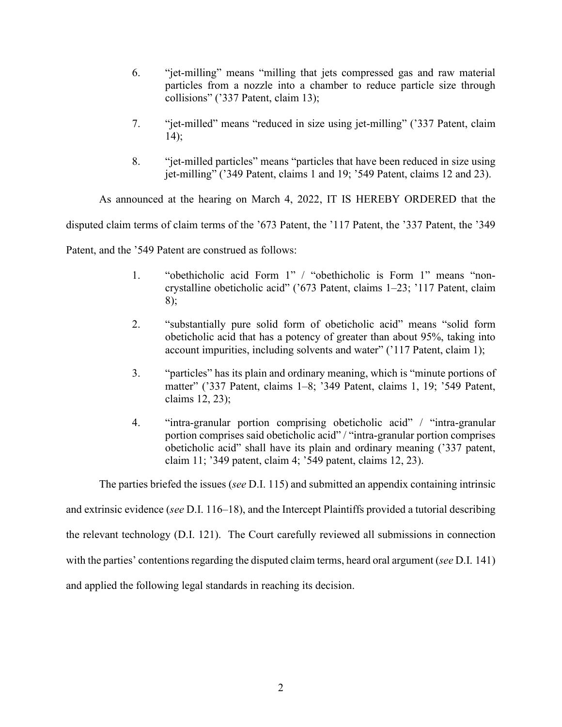- 6. "jet-milling" means "milling that jets compressed gas and raw material particles from a nozzle into a chamber to reduce particle size through collisions" ('337 Patent, claim 13);
- 7. "jet-milled" means "reduced in size using jet-milling" ('337 Patent, claim 14);
- 8. "jet-milled particles" means "particles that have been reduced in size using jet-milling" ('349 Patent, claims 1 and 19; '549 Patent, claims 12 and 23).

As announced at the hearing on March 4, 2022, IT IS HEREBY ORDERED that the

disputed claim terms of claim terms of the '673 Patent, the '117 Patent, the '337 Patent, the '349

Patent, and the '549 Patent are construed as follows:

- 1. "obethicholic acid Form 1" / "obethicholic is Form 1" means "noncrystalline obeticholic acid" ('673 Patent, claims 1–23; '117 Patent, claim 8);
- 2. "substantially pure solid form of obeticholic acid" means "solid form obeticholic acid that has a potency of greater than about 95%, taking into account impurities, including solvents and water" ('117 Patent, claim 1);
- 3. "particles" has its plain and ordinary meaning, which is "minute portions of matter" ('337 Patent, claims 1–8; '349 Patent, claims 1, 19; '549 Patent, claims 12, 23);
- 4. "intra-granular portion comprising obeticholic acid" / "intra-granular portion comprises said obeticholic acid" / "intra-granular portion comprises obeticholic acid" shall have its plain and ordinary meaning ('337 patent, claim 11; '349 patent, claim 4; '549 patent, claims 12, 23).

The parties briefed the issues (*see* D.I. 115) and submitted an appendix containing intrinsic and extrinsic evidence (*see* D.I. 116–18), and the Intercept Plaintiffs provided a tutorial describing the relevant technology (D.I. 121). The Court carefully reviewed all submissions in connection with the parties' contentions regarding the disputed claim terms, heard oral argument (*see* D.I. 141) and applied the following legal standards in reaching its decision.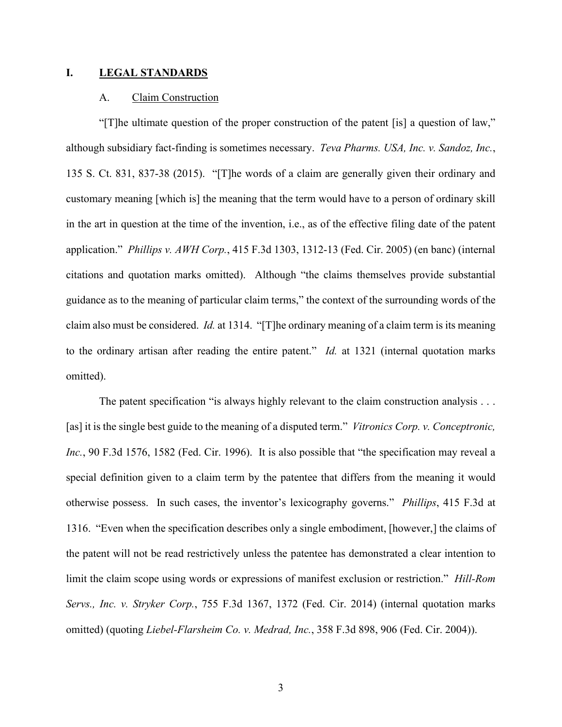#### **I. LEGAL STANDARDS**

### A. Claim Construction

"[T]he ultimate question of the proper construction of the patent [is] a question of law," although subsidiary fact-finding is sometimes necessary. *Teva Pharms. USA, Inc. v. Sandoz, Inc.*, 135 S. Ct. 831, 837-38 (2015). "[T]he words of a claim are generally given their ordinary and customary meaning [which is] the meaning that the term would have to a person of ordinary skill in the art in question at the time of the invention, i.e., as of the effective filing date of the patent application." *Phillips v. AWH Corp.*, 415 F.3d 1303, 1312-13 (Fed. Cir. 2005) (en banc) (internal citations and quotation marks omitted). Although "the claims themselves provide substantial guidance as to the meaning of particular claim terms," the context of the surrounding words of the claim also must be considered. *Id.* at 1314. "[T]he ordinary meaning of a claim term is its meaning to the ordinary artisan after reading the entire patent." *Id.* at 1321 (internal quotation marks omitted).

The patent specification "is always highly relevant to the claim construction analysis . . . [as] it is the single best guide to the meaning of a disputed term." *Vitronics Corp. v. Conceptronic, Inc.*, 90 F.3d 1576, 1582 (Fed. Cir. 1996). It is also possible that "the specification may reveal a special definition given to a claim term by the patentee that differs from the meaning it would otherwise possess. In such cases, the inventor's lexicography governs." *Phillips*, 415 F.3d at 1316. "Even when the specification describes only a single embodiment, [however,] the claims of the patent will not be read restrictively unless the patentee has demonstrated a clear intention to limit the claim scope using words or expressions of manifest exclusion or restriction." *Hill-Rom Servs., Inc. v. Stryker Corp.*, 755 F.3d 1367, 1372 (Fed. Cir. 2014) (internal quotation marks omitted) (quoting *Liebel-Flarsheim Co. v. Medrad, Inc.*, 358 F.3d 898, 906 (Fed. Cir. 2004)).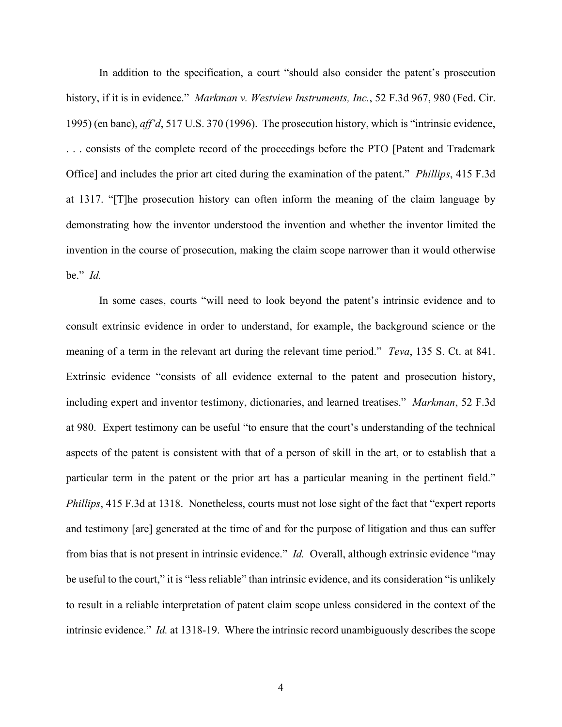In addition to the specification, a court "should also consider the patent's prosecution history, if it is in evidence." *Markman v. Westview Instruments, Inc.*, 52 F.3d 967, 980 (Fed. Cir. 1995) (en banc), *aff'd*, 517 U.S. 370 (1996). The prosecution history, which is "intrinsic evidence, . . . consists of the complete record of the proceedings before the PTO [Patent and Trademark Office] and includes the prior art cited during the examination of the patent." *Phillips*, 415 F.3d at 1317. "[T]he prosecution history can often inform the meaning of the claim language by demonstrating how the inventor understood the invention and whether the inventor limited the invention in the course of prosecution, making the claim scope narrower than it would otherwise be." *Id.*

In some cases, courts "will need to look beyond the patent's intrinsic evidence and to consult extrinsic evidence in order to understand, for example, the background science or the meaning of a term in the relevant art during the relevant time period." *Teva*, 135 S. Ct. at 841. Extrinsic evidence "consists of all evidence external to the patent and prosecution history, including expert and inventor testimony, dictionaries, and learned treatises." *Markman*, 52 F.3d at 980. Expert testimony can be useful "to ensure that the court's understanding of the technical aspects of the patent is consistent with that of a person of skill in the art, or to establish that a particular term in the patent or the prior art has a particular meaning in the pertinent field." *Phillips*, 415 F.3d at 1318. Nonetheless, courts must not lose sight of the fact that "expert reports" and testimony [are] generated at the time of and for the purpose of litigation and thus can suffer from bias that is not present in intrinsic evidence." *Id.* Overall, although extrinsic evidence "may be useful to the court," it is "less reliable" than intrinsic evidence, and its consideration "is unlikely to result in a reliable interpretation of patent claim scope unless considered in the context of the intrinsic evidence." *Id.* at 1318-19. Where the intrinsic record unambiguously describes the scope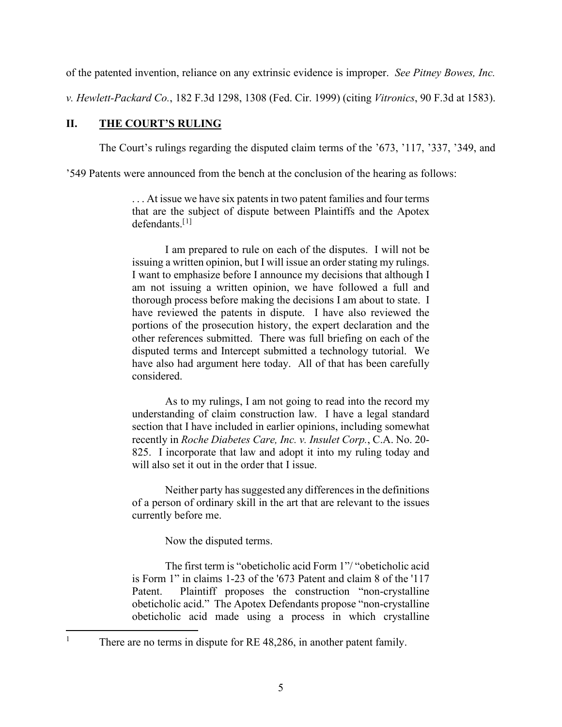of the patented invention, reliance on any extrinsic evidence is improper. *See Pitney Bowes, Inc.* 

*v. Hewlett-Packard Co.*, 182 F.3d 1298, 1308 (Fed. Cir. 1999) (citing *Vitronics*, 90 F.3d at 1583).

# **II. THE COURT'S RULING**

The Court's rulings regarding the disputed claim terms of the '673, '117, '337, '349, and

'549 Patents were announced from the bench at the conclusion of the hearing as follows:

... At issue we have six patents in two patent families and four terms that are the subject of dispute between Plaintiffs and the Apotex  $defendants.$ <sup>[[1](#page-4-0)]</sup>

I am prepared to rule on each of the disputes. I will not be issuing a written opinion, but I will issue an order stating my rulings. I want to emphasize before I announce my decisions that although I am not issuing a written opinion, we have followed a full and thorough process before making the decisions I am about to state. I have reviewed the patents in dispute. I have also reviewed the portions of the prosecution history, the expert declaration and the other references submitted. There was full briefing on each of the disputed terms and Intercept submitted a technology tutorial. We have also had argument here today. All of that has been carefully considered.

As to my rulings, I am not going to read into the record my understanding of claim construction law. I have a legal standard section that I have included in earlier opinions, including somewhat recently in *Roche Diabetes Care, Inc. v. Insulet Corp.*, C.A. No. 20- 825. I incorporate that law and adopt it into my ruling today and will also set it out in the order that I issue.

Neither party has suggested any differences in the definitions of a person of ordinary skill in the art that are relevant to the issues currently before me.

Now the disputed terms.

The first term is "obeticholic acid Form 1"/ "obeticholic acid is Form 1" in claims 1-23 of the '673 Patent and claim 8 of the '117 Patent. Plaintiff proposes the construction "non-crystalline obeticholic acid." The Apotex Defendants propose "non-crystalline obeticholic acid made using a process in which crystalline

<span id="page-4-0"></span><sup>&</sup>lt;sup>1</sup> There are no terms in dispute for RE 48,286, in another patent family.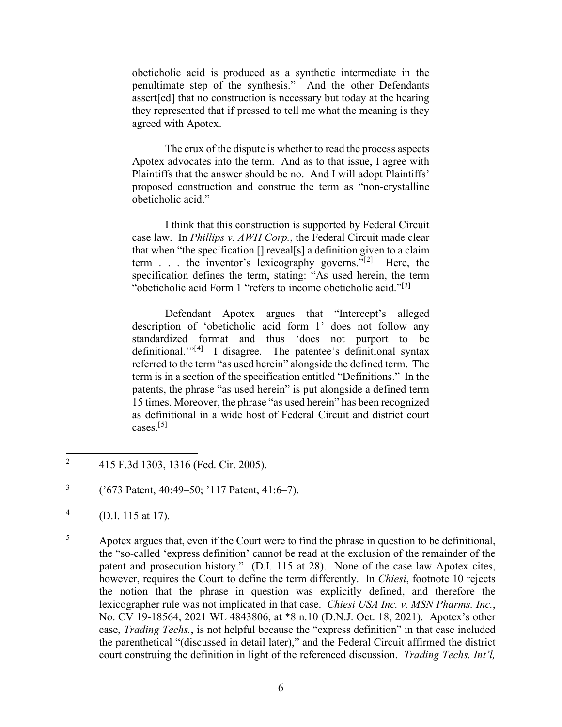obeticholic acid is produced as a synthetic intermediate in the penultimate step of the synthesis." And the other Defendants assert[ed] that no construction is necessary but today at the hearing they represented that if pressed to tell me what the meaning is they agreed with Apotex.

The crux of the dispute is whether to read the process aspects Apotex advocates into the term. And as to that issue, I agree with Plaintiffs that the answer should be no. And I will adopt Plaintiffs' proposed construction and construe the term as "non-crystalline obeticholic acid."

I think that this construction is supported by Federal Circuit case law. In *Phillips v. AWH Corp.*, the Federal Circuit made clear that when "the specification  $[]$  reveal[s] a definition given to a claim term  $\ldots$  the inventor's lexicography governs."<sup>[[2\]](#page-5-0)</sup> Here, the specification defines the term, stating: "As used herein, the term "obeticholic acid Form 1 "refers to income obeticholic acid."<sup>[[3\]](#page-5-1)</sup>

Defendant Apotex argues that "Intercept's alleged description of 'obeticholic acid form 1' does not follow any standardized format and thus 'does not purport to be definitional."<sup>[[4\]](#page-5-2)</sup> I disagree. The patentee's definitional syntax referred to the term "as used herein" alongside the defined term. The term is in a section of the specification entitled "Definitions." In the patents, the phrase "as used herein" is put alongside a defined term 15 times. Moreover, the phrase "as used herein" has been recognized as definitional in a wide host of Federal Circuit and district court cases.[[5](#page-5-3)]

<span id="page-5-0"></span><sup>&</sup>lt;sup>2</sup> 415 F.3d 1303, 1316 (Fed. Cir. 2005).

<span id="page-5-1"></span> $3$  ('673 Patent, 40:49–50; '117 Patent, 41:6–7).

<span id="page-5-2"></span> $^{4}$  (D.I. 115 at 17).

<span id="page-5-3"></span><sup>&</sup>lt;sup>5</sup> Apotex argues that, even if the Court were to find the phrase in question to be definitional, the "so-called 'express definition' cannot be read at the exclusion of the remainder of the patent and prosecution history." (D.I. 115 at 28). None of the case law Apotex cites, however, requires the Court to define the term differently. In *Chiesi*, footnote 10 rejects the notion that the phrase in question was explicitly defined, and therefore the lexicographer rule was not implicated in that case. *Chiesi USA Inc. v. MSN Pharms. Inc.*, No. CV 19-18564, 2021 WL 4843806, at \*8 n.10 (D.N.J. Oct. 18, 2021). Apotex's other case, *Trading Techs.*, is not helpful because the "express definition" in that case included the parenthetical "(discussed in detail later)," and the Federal Circuit affirmed the district court construing the definition in light of the referenced discussion. *Trading Techs. Int'l,*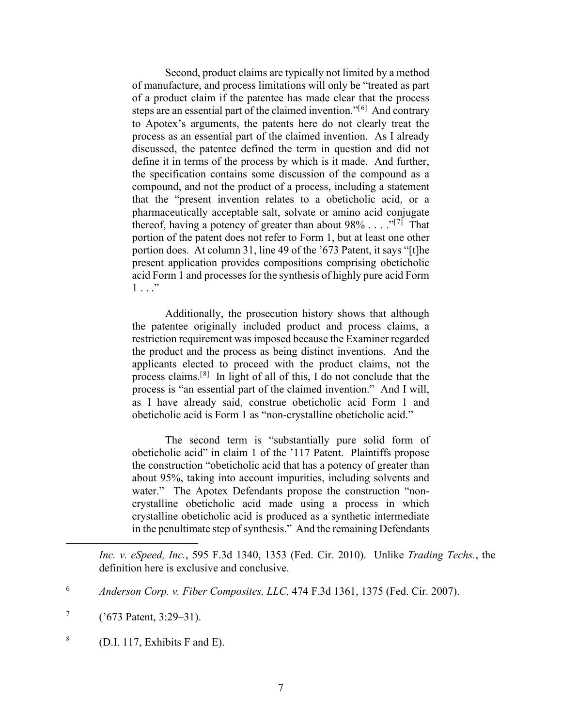Second, product claims are typically not limited by a method of manufacture, and process limitations will only be "treated as part of a product claim if the patentee has made clear that the process steps are an essential part of the claimed invention."[[6](#page-6-0)] And contrary to Apotex's arguments, the patents here do not clearly treat the process as an essential part of the claimed invention. As I already discussed, the patentee defined the term in question and did not define it in terms of the process by which is it made. And further, the specification contains some discussion of the compound as a compound, and not the product of a process, including a statement that the "present invention relates to a obeticholic acid, or a pharmaceutically acceptable salt, solvate or amino acid conjugate thereof, having a potency of greater than about  $98\% \ldots$ ."<sup>[[7](#page-6-1)]</sup> That portion of the patent does not refer to Form 1, but at least one other portion does. At column 31, line 49 of the '673 Patent, it says "[t]he present application provides compositions comprising obeticholic acid Form 1 and processes for the synthesis of highly pure acid Form  $1 \ldots$ "

Additionally, the prosecution history shows that although the patentee originally included product and process claims, a restriction requirement was imposed because the Examiner regarded the product and the process as being distinct inventions. And the applicants elected to proceed with the product claims, not the process claims.[[8](#page-6-2)] In light of all of this, I do not conclude that the process is "an essential part of the claimed invention." And I will, as I have already said, construe obeticholic acid Form 1 and obeticholic acid is Form 1 as "non-crystalline obeticholic acid."

The second term is "substantially pure solid form of obeticholic acid" in claim 1 of the '117 Patent. Plaintiffs propose the construction "obeticholic acid that has a potency of greater than about 95%, taking into account impurities, including solvents and water." The Apotex Defendants propose the construction "noncrystalline obeticholic acid made using a process in which crystalline obeticholic acid is produced as a synthetic intermediate in the penultimate step of synthesis." And the remaining Defendants

<span id="page-6-2"></span> $8$  (D.I. 117, Exhibits F and E).

*Inc. v. eSpeed, Inc.*, 595 F.3d 1340, 1353 (Fed. Cir. 2010). Unlike *Trading Techs.*, the definition here is exclusive and conclusive.

<span id="page-6-0"></span><sup>6</sup> *Anderson Corp. v. Fiber Composites, LLC,* 474 F.3d 1361, 1375 (Fed. Cir. 2007).

<span id="page-6-1"></span> $^{7}$  ('673 Patent, 3:29–31).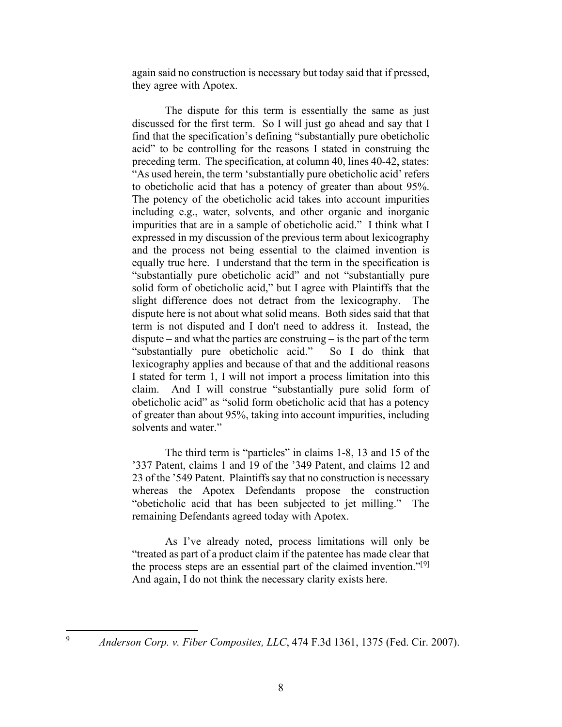again said no construction is necessary but today said that if pressed, they agree with Apotex.

The dispute for this term is essentially the same as just discussed for the first term. So I will just go ahead and say that I find that the specification's defining "substantially pure obeticholic acid" to be controlling for the reasons I stated in construing the preceding term. The specification, at column 40, lines 40-42, states: "As used herein, the term 'substantially pure obeticholic acid' refers to obeticholic acid that has a potency of greater than about 95%. The potency of the obeticholic acid takes into account impurities including e.g., water, solvents, and other organic and inorganic impurities that are in a sample of obeticholic acid." I think what I expressed in my discussion of the previous term about lexicography and the process not being essential to the claimed invention is equally true here. I understand that the term in the specification is "substantially pure obeticholic acid" and not "substantially pure solid form of obeticholic acid," but I agree with Plaintiffs that the slight difference does not detract from the lexicography. The dispute here is not about what solid means. Both sides said that that term is not disputed and I don't need to address it. Instead, the dispute – and what the parties are construing – is the part of the term "substantially pure obeticholic acid." So I do think that lexicography applies and because of that and the additional reasons I stated for term 1, I will not import a process limitation into this claim. And I will construe "substantially pure solid form of obeticholic acid" as "solid form obeticholic acid that has a potency of greater than about 95%, taking into account impurities, including solvents and water."

The third term is "particles" in claims 1-8, 13 and 15 of the '337 Patent, claims 1 and 19 of the '349 Patent, and claims 12 and 23 of the '549 Patent. Plaintiffs say that no construction is necessary whereas the Apotex Defendants propose the construction "obeticholic acid that has been subjected to jet milling." The remaining Defendants agreed today with Apotex.

As I've already noted, process limitations will only be "treated as part of a product claim if the patentee has made clear that the process steps are an essential part of the claimed invention."<sup>[[9](#page-7-0)]</sup> And again, I do not think the necessary clarity exists here.

<span id="page-7-0"></span>

<sup>9</sup> *Anderson Corp. v. Fiber Composites, LLC*, 474 F.3d 1361, 1375 (Fed. Cir. 2007).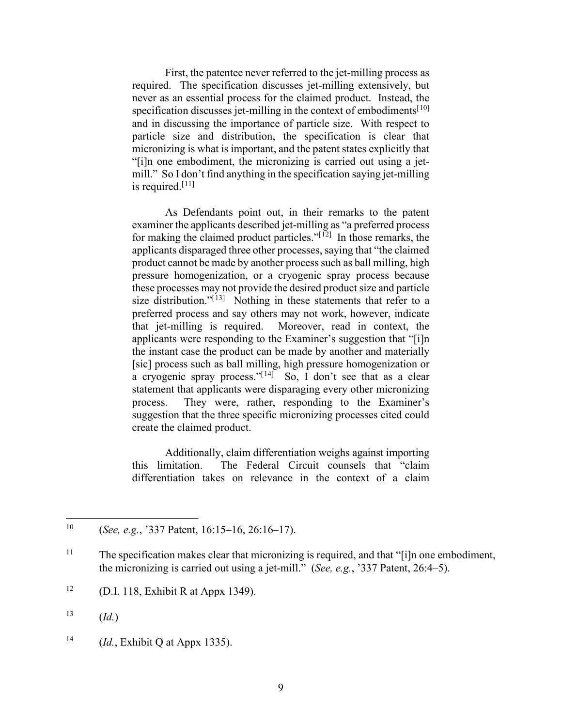First, the patentee never referred to the jet-milling process as required. The specification discusses jet-milling extensively, but never as an essential process for the claimed product. Instead, the specification discusses jet-milling in the context of embodiments $[10]$  $[10]$  $[10]$ and in discussing the importance of particle size. With respect to particle size and distribution, the specification is clear that micronizing is what is important, and the patent states explicitly that "[i]n one embodiment, the micronizing is carried out using a jetmill." So I don't find anything in the specification saying jet-milling is required. $[11]$  $[11]$  $[11]$ 

As Defendants point out, in their remarks to the patent examiner the applicants described jet-milling as "a preferred process for making the claimed product particles." $[12]$  $[12]$  In those remarks, the applicants disparaged three other processes, saying that "the claimed product cannot be made by another process such as ball milling, high pressure homogenization, or a cryogenic spray process because these processes may not provide the desired product size and particle size distribution."<sup>[[13\]](#page-8-3)</sup> Nothing in these statements that refer to a preferred process and say others may not work, however, indicate that jet-milling is required. Moreover, read in context, the applicants were responding to the Examiner's suggestion that "[i]n the instant case the product can be made by another and materially [sic] process such as ball milling, high pressure homogenization or a cryogenic spray process." $[14]$  $[14]$  So, I don't see that as a clear statement that applicants were disparaging every other micronizing process. They were, rather, responding to the Examiner's suggestion that the three specific micronizing processes cited could create the claimed product.

Additionally, claim differentiation weighs against importing this limitation. The Federal Circuit counsels that "claim differentiation takes on relevance in the context of a claim

<span id="page-8-0"></span><sup>10</sup> (*See, e.g.*, '337 Patent, 16:15–16, 26:16–17).

<span id="page-8-1"></span><sup>&</sup>lt;sup>11</sup> The specification makes clear that micronizing is required, and that "[i]n one embodiment, the micronizing is carried out using a jet-mill." (*See, e.g.*, '337 Patent, 26:4–5).

<span id="page-8-2"></span><sup>&</sup>lt;sup>12</sup> (D.I. 118, Exhibit R at Appx 1349).

<span id="page-8-3"></span> $^{13}$  (*Id.*)

<span id="page-8-4"></span><sup>14</sup> (*Id.*, Exhibit Q at Appx 1335).